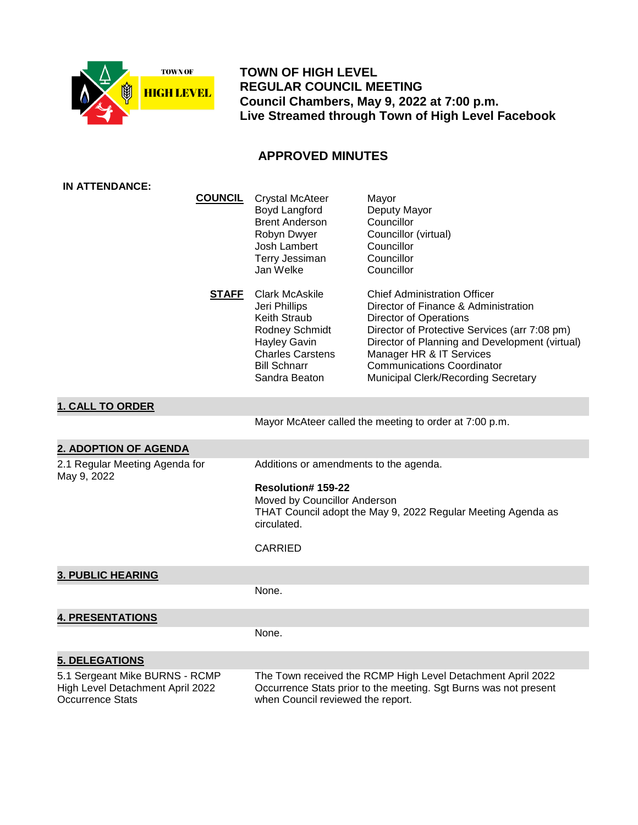

 **TOWN OF HIGH LEVEL REGULAR COUNCIL MEETING Council Chambers, May 9, 2022 at 7:00 p.m. Live Streamed through Town of High Level Facebook**

# **APPROVED MINUTES**

| IN ATTENDANCE:                                                                                |                                                                                                                                                                                               |                                                                                                                                                                                                                                                                                                                         |
|-----------------------------------------------------------------------------------------------|-----------------------------------------------------------------------------------------------------------------------------------------------------------------------------------------------|-------------------------------------------------------------------------------------------------------------------------------------------------------------------------------------------------------------------------------------------------------------------------------------------------------------------------|
| <b>COUNCIL</b>                                                                                | <b>Crystal McAteer</b><br>Boyd Langford<br><b>Brent Anderson</b><br>Robyn Dwyer<br>Josh Lambert<br><b>Terry Jessiman</b><br>Jan Welke                                                         | Mayor<br>Deputy Mayor<br>Councillor<br>Councillor (virtual)<br>Councillor<br>Councillor<br>Councillor                                                                                                                                                                                                                   |
| <b>STAFF</b>                                                                                  | <b>Clark McAskile</b><br>Jeri Phillips<br>Keith Straub<br>Rodney Schmidt<br><b>Hayley Gavin</b><br><b>Charles Carstens</b><br><b>Bill Schnarr</b><br>Sandra Beaton                            | <b>Chief Administration Officer</b><br>Director of Finance & Administration<br><b>Director of Operations</b><br>Director of Protective Services (arr 7:08 pm)<br>Director of Planning and Development (virtual)<br>Manager HR & IT Services<br><b>Communications Coordinator</b><br>Municipal Clerk/Recording Secretary |
| <b>1. CALL TO ORDER</b>                                                                       |                                                                                                                                                                                               |                                                                                                                                                                                                                                                                                                                         |
|                                                                                               |                                                                                                                                                                                               | Mayor McAteer called the meeting to order at 7:00 p.m.                                                                                                                                                                                                                                                                  |
| 2. ADOPTION OF AGENDA                                                                         |                                                                                                                                                                                               |                                                                                                                                                                                                                                                                                                                         |
| 2.1 Regular Meeting Agenda for<br>May 9, 2022                                                 | Additions or amendments to the agenda.<br>Resolution# 159-22<br>Moved by Councillor Anderson<br>THAT Council adopt the May 9, 2022 Regular Meeting Agenda as<br>circulated.<br><b>CARRIED</b> |                                                                                                                                                                                                                                                                                                                         |
| <b>3. PUBLIC HEARING</b>                                                                      |                                                                                                                                                                                               |                                                                                                                                                                                                                                                                                                                         |
|                                                                                               | None.                                                                                                                                                                                         |                                                                                                                                                                                                                                                                                                                         |
| <b>4. PRESENTATIONS</b>                                                                       |                                                                                                                                                                                               |                                                                                                                                                                                                                                                                                                                         |
|                                                                                               | None.                                                                                                                                                                                         |                                                                                                                                                                                                                                                                                                                         |
| <b>5. DELEGATIONS</b>                                                                         |                                                                                                                                                                                               |                                                                                                                                                                                                                                                                                                                         |
| 5.1 Sergeant Mike BURNS - RCMP<br>High Level Detachment April 2022<br><b>Occurrence Stats</b> | The Town received the RCMP High Level Detachment April 2022<br>Occurrence Stats prior to the meeting. Sgt Burns was not present<br>when Council reviewed the report.                          |                                                                                                                                                                                                                                                                                                                         |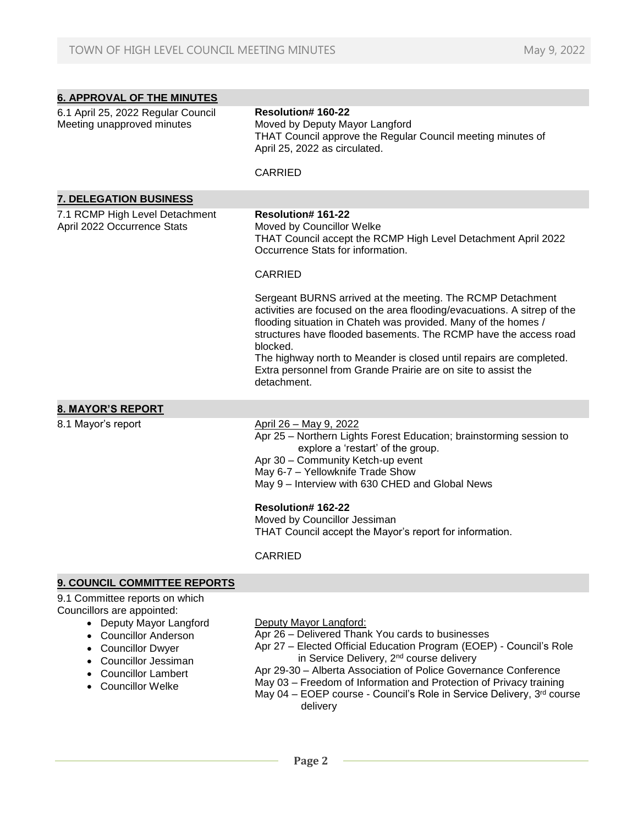| <b>6. APPROVAL OF THE MINUTES</b>                                                                                                                |                                                                                                                                                                                                                                                                                                                                                                                                                                                 |
|--------------------------------------------------------------------------------------------------------------------------------------------------|-------------------------------------------------------------------------------------------------------------------------------------------------------------------------------------------------------------------------------------------------------------------------------------------------------------------------------------------------------------------------------------------------------------------------------------------------|
| 6.1 April 25, 2022 Regular Council<br>Meeting unapproved minutes                                                                                 | <b>Resolution#160-22</b><br>Moved by Deputy Mayor Langford<br>THAT Council approve the Regular Council meeting minutes of<br>April 25, 2022 as circulated.                                                                                                                                                                                                                                                                                      |
|                                                                                                                                                  | <b>CARRIED</b>                                                                                                                                                                                                                                                                                                                                                                                                                                  |
| <b>7. DELEGATION BUSINESS</b>                                                                                                                    |                                                                                                                                                                                                                                                                                                                                                                                                                                                 |
| 7.1 RCMP High Level Detachment<br>April 2022 Occurrence Stats                                                                                    | <b>Resolution#161-22</b><br>Moved by Councillor Welke<br>THAT Council accept the RCMP High Level Detachment April 2022<br>Occurrence Stats for information.                                                                                                                                                                                                                                                                                     |
|                                                                                                                                                  | <b>CARRIED</b>                                                                                                                                                                                                                                                                                                                                                                                                                                  |
|                                                                                                                                                  | Sergeant BURNS arrived at the meeting. The RCMP Detachment<br>activities are focused on the area flooding/evacuations. A sitrep of the<br>flooding situation in Chateh was provided. Many of the homes /<br>structures have flooded basements. The RCMP have the access road<br>blocked.<br>The highway north to Meander is closed until repairs are completed.<br>Extra personnel from Grande Prairie are on site to assist the<br>detachment. |
| <b>8. MAYOR'S REPORT</b>                                                                                                                         |                                                                                                                                                                                                                                                                                                                                                                                                                                                 |
| 8.1 Mayor's report                                                                                                                               | April 26 - May 9, 2022<br>Apr 25 - Northern Lights Forest Education; brainstorming session to<br>explore a 'restart' of the group.<br>Apr 30 - Community Ketch-up event<br>May 6-7 - Yellowknife Trade Show<br>May 9 - Interview with 630 CHED and Global News<br><b>Resolution#162-22</b><br>Moved by Councillor Jessiman<br>THAT Council accept the Mayor's report for information.<br>CARRIED                                                |
| 9. COUNCIL COMMITTEE REPORTS                                                                                                                     |                                                                                                                                                                                                                                                                                                                                                                                                                                                 |
| 9.1 Committee reports on which<br>Councillors are appointed:<br>• Deputy Mayor Langford<br><b>Councillor Anderson</b><br><b>Councillor Dwyer</b> | Deputy Mayor Langford:<br>Apr 26 - Delivered Thank You cards to businesses<br>Apr 27 - Elected Official Education Program (EOEP) - Council's Role<br>in Convice Delivery, 2nd course delivery                                                                                                                                                                                                                                                   |

- Councillor Jessiman Councillor Lambert
- Councillor Welke
- in Service Delivery, 2<sup>nd</sup> course delivery
- Apr 29-30 Alberta Association of Police Governance Conference
- May 03 Freedom of Information and Protection of Privacy training

May 04 – EOEP course - Council's Role in Service Delivery, 3rd course delivery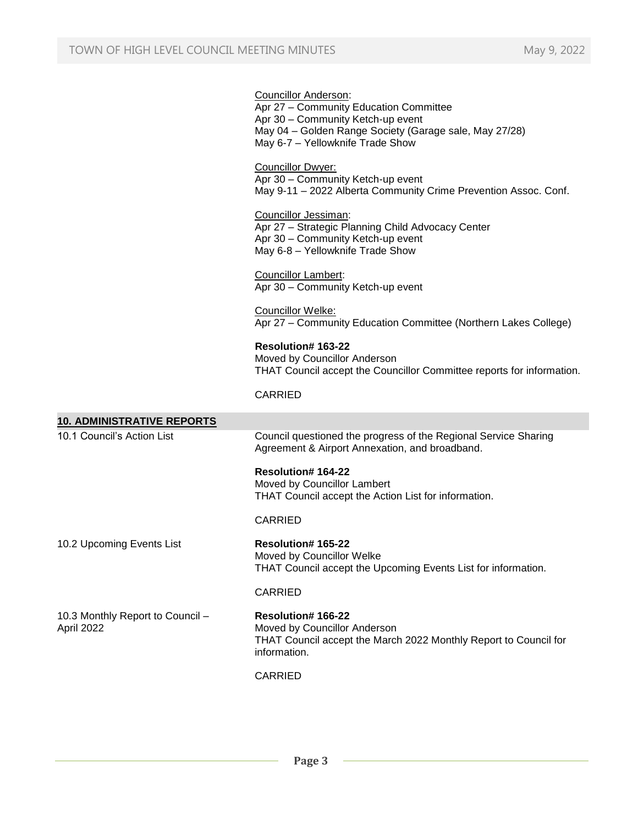|                                                | <b>Councillor Anderson:</b><br>Apr 27 - Community Education Committee<br>Apr 30 - Community Ketch-up event<br>May 04 - Golden Range Society (Garage sale, May 27/28)<br>May 6-7 - Yellowknife Trade Show |
|------------------------------------------------|----------------------------------------------------------------------------------------------------------------------------------------------------------------------------------------------------------|
|                                                | <b>Councillor Dwyer:</b><br>Apr 30 - Community Ketch-up event<br>May 9-11 - 2022 Alberta Community Crime Prevention Assoc. Conf.                                                                         |
|                                                | Councillor Jessiman:<br>Apr 27 - Strategic Planning Child Advocacy Center<br>Apr 30 - Community Ketch-up event<br>May 6-8 - Yellowknife Trade Show                                                       |
|                                                | <b>Councillor Lambert:</b><br>Apr 30 - Community Ketch-up event                                                                                                                                          |
|                                                | Councillor Welke:<br>Apr 27 - Community Education Committee (Northern Lakes College)                                                                                                                     |
|                                                | <b>Resolution# 163-22</b><br>Moved by Councillor Anderson<br>THAT Council accept the Councillor Committee reports for information.                                                                       |
|                                                | <b>CARRIED</b>                                                                                                                                                                                           |
| <b>10. ADMINISTRATIVE REPORTS</b>              |                                                                                                                                                                                                          |
| 10.1 Council's Action List                     | Council questioned the progress of the Regional Service Sharing<br>Agreement & Airport Annexation, and broadband.                                                                                        |
|                                                | <b>Resolution#164-22</b><br>Moved by Councillor Lambert                                                                                                                                                  |
|                                                | THAT Council accept the Action List for information.                                                                                                                                                     |
|                                                | <b>CARRIED</b>                                                                                                                                                                                           |
| 10.2 Upcoming Events List                      | <b>Resolution# 165-22</b><br>Moved by Councillor Welke<br>THAT Council accept the Upcoming Events List for information.                                                                                  |
|                                                | <b>CARRIED</b>                                                                                                                                                                                           |
| 10.3 Monthly Report to Council -<br>April 2022 | Resolution# 166-22<br>Moved by Councillor Anderson<br>THAT Council accept the March 2022 Monthly Report to Council for<br>information.                                                                   |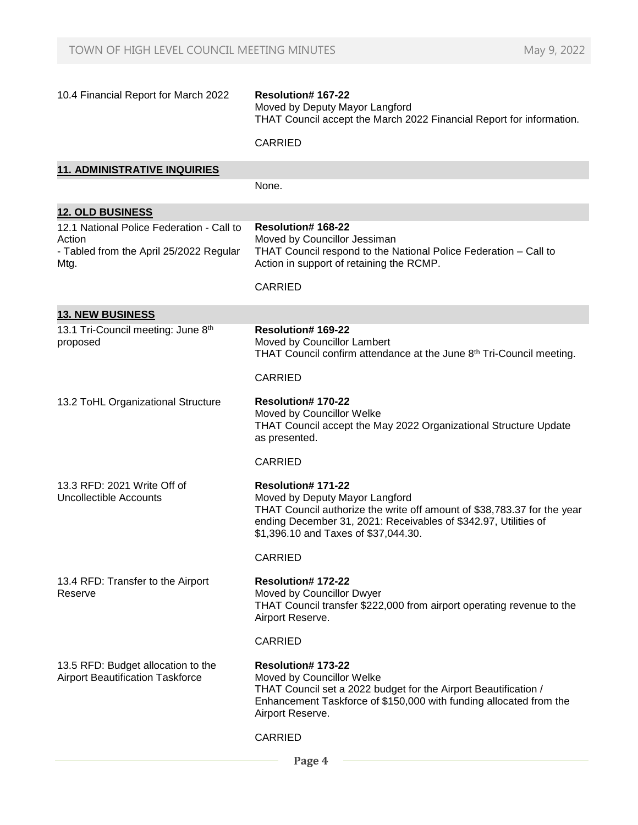| 10.4 Financial Report for March 2022                                                                   | Resolution# 167-22<br>Moved by Deputy Mayor Langford<br>THAT Council accept the March 2022 Financial Report for information.                                                                                                                     |
|--------------------------------------------------------------------------------------------------------|--------------------------------------------------------------------------------------------------------------------------------------------------------------------------------------------------------------------------------------------------|
|                                                                                                        | <b>CARRIED</b>                                                                                                                                                                                                                                   |
| <b>11. ADMINISTRATIVE INQUIRIES</b>                                                                    |                                                                                                                                                                                                                                                  |
|                                                                                                        | None.                                                                                                                                                                                                                                            |
| <b>12. OLD BUSINESS</b>                                                                                |                                                                                                                                                                                                                                                  |
| 12.1 National Police Federation - Call to<br>Action<br>- Tabled from the April 25/2022 Regular<br>Mtg. | <b>Resolution# 168-22</b><br>Moved by Councillor Jessiman<br>THAT Council respond to the National Police Federation - Call to<br>Action in support of retaining the RCMP.                                                                        |
|                                                                                                        | <b>CARRIED</b>                                                                                                                                                                                                                                   |
| <b>13. NEW BUSINESS</b>                                                                                |                                                                                                                                                                                                                                                  |
| 13.1 Tri-Council meeting: June 8th<br>proposed                                                         | <b>Resolution#169-22</b><br>Moved by Councillor Lambert<br>THAT Council confirm attendance at the June 8 <sup>th</sup> Tri-Council meeting.                                                                                                      |
|                                                                                                        | <b>CARRIED</b>                                                                                                                                                                                                                                   |
| 13.2 ToHL Organizational Structure                                                                     | Resolution# 170-22<br>Moved by Councillor Welke<br>THAT Council accept the May 2022 Organizational Structure Update<br>as presented.                                                                                                             |
|                                                                                                        | <b>CARRIED</b>                                                                                                                                                                                                                                   |
| 13.3 RFD: 2021 Write Off of<br>Uncollectible Accounts                                                  | <b>Resolution#171-22</b><br>Moved by Deputy Mayor Langford<br>THAT Council authorize the write off amount of \$38,783.37 for the year<br>ending December 31, 2021: Receivables of \$342.97, Utilities of<br>\$1,396.10 and Taxes of \$37,044.30. |
|                                                                                                        | CARRIED                                                                                                                                                                                                                                          |
| 13.4 RFD: Transfer to the Airport<br>Reserve                                                           | <b>Resolution# 172-22</b><br>Moved by Councillor Dwyer<br>THAT Council transfer \$222,000 from airport operating revenue to the<br>Airport Reserve.                                                                                              |
|                                                                                                        | <b>CARRIED</b>                                                                                                                                                                                                                                   |
| 13.5 RFD: Budget allocation to the<br><b>Airport Beautification Taskforce</b>                          | <b>Resolution# 173-22</b><br>Moved by Councillor Welke<br>THAT Council set a 2022 budget for the Airport Beautification /<br>Enhancement Taskforce of \$150,000 with funding allocated from the<br>Airport Reserve.                              |
|                                                                                                        | <b>CARRIED</b>                                                                                                                                                                                                                                   |

 **Page 4**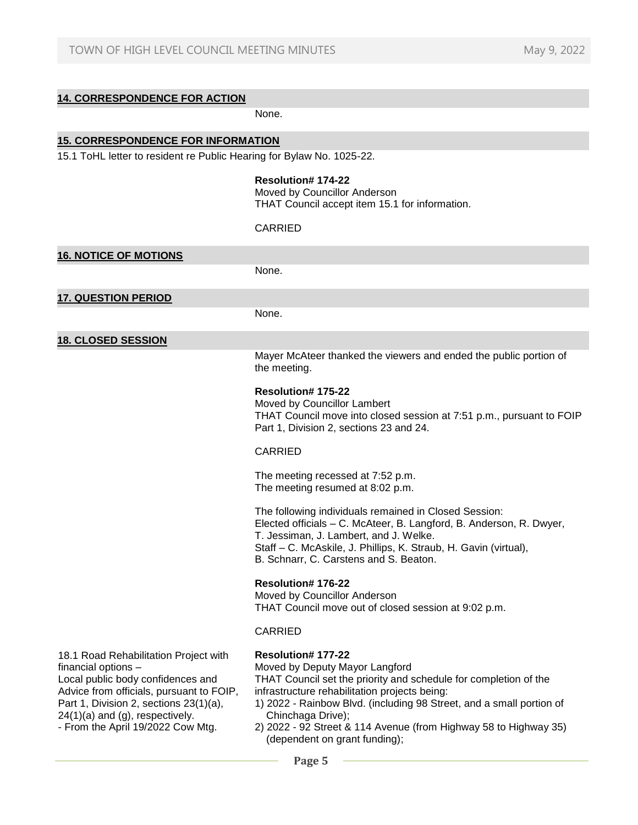# **14. CORRESPONDENCE FOR ACTION**

None.

# **15. CORRESPONDENCE FOR INFORMATION**

15.1 ToHL letter to resident re Public Hearing for Bylaw No. 1025-22.

## **Resolution# 174-22** Moved by Councillor Anderson

THAT Council accept item 15.1 for information.

#### CARRIED

| <b>16. NOTICE OF MOTIONS</b>                                                                                                                                                                                                                                    |                                                                                                                                                                                                                                                                                                                                                                             |
|-----------------------------------------------------------------------------------------------------------------------------------------------------------------------------------------------------------------------------------------------------------------|-----------------------------------------------------------------------------------------------------------------------------------------------------------------------------------------------------------------------------------------------------------------------------------------------------------------------------------------------------------------------------|
|                                                                                                                                                                                                                                                                 | None.                                                                                                                                                                                                                                                                                                                                                                       |
| <b>17. QUESTION PERIOD</b>                                                                                                                                                                                                                                      |                                                                                                                                                                                                                                                                                                                                                                             |
|                                                                                                                                                                                                                                                                 | None.                                                                                                                                                                                                                                                                                                                                                                       |
| <b>18. CLOSED SESSION</b>                                                                                                                                                                                                                                       |                                                                                                                                                                                                                                                                                                                                                                             |
|                                                                                                                                                                                                                                                                 | Mayer McAteer thanked the viewers and ended the public portion of<br>the meeting.                                                                                                                                                                                                                                                                                           |
|                                                                                                                                                                                                                                                                 | Resolution# 175-22<br>Moved by Councillor Lambert<br>THAT Council move into closed session at 7:51 p.m., pursuant to FOIP<br>Part 1, Division 2, sections 23 and 24.                                                                                                                                                                                                        |
|                                                                                                                                                                                                                                                                 | <b>CARRIED</b>                                                                                                                                                                                                                                                                                                                                                              |
|                                                                                                                                                                                                                                                                 | The meeting recessed at 7:52 p.m.<br>The meeting resumed at 8:02 p.m.                                                                                                                                                                                                                                                                                                       |
|                                                                                                                                                                                                                                                                 | The following individuals remained in Closed Session:<br>Elected officials - C. McAteer, B. Langford, B. Anderson, R. Dwyer,<br>T. Jessiman, J. Lambert, and J. Welke.<br>Staff - C. McAskile, J. Phillips, K. Straub, H. Gavin (virtual),<br>B. Schnarr, C. Carstens and S. Beaton.                                                                                        |
|                                                                                                                                                                                                                                                                 | Resolution# 176-22<br>Moved by Councillor Anderson<br>THAT Council move out of closed session at 9:02 p.m.                                                                                                                                                                                                                                                                  |
|                                                                                                                                                                                                                                                                 | <b>CARRIED</b>                                                                                                                                                                                                                                                                                                                                                              |
| 18.1 Road Rehabilitation Project with<br>financial options -<br>Local public body confidences and<br>Advice from officials, pursuant to FOIP,<br>Part 1, Division 2, sections 23(1)(a),<br>24(1)(a) and (g), respectively.<br>- From the April 19/2022 Cow Mtg. | Resolution# 177-22<br>Moved by Deputy Mayor Langford<br>THAT Council set the priority and schedule for completion of the<br>infrastructure rehabilitation projects being:<br>1) 2022 - Rainbow Blvd. (including 98 Street, and a small portion of<br>Chinchaga Drive);<br>2) 2022 - 92 Street & 114 Avenue (from Highway 58 to Highway 35)<br>(dependent on grant funding); |